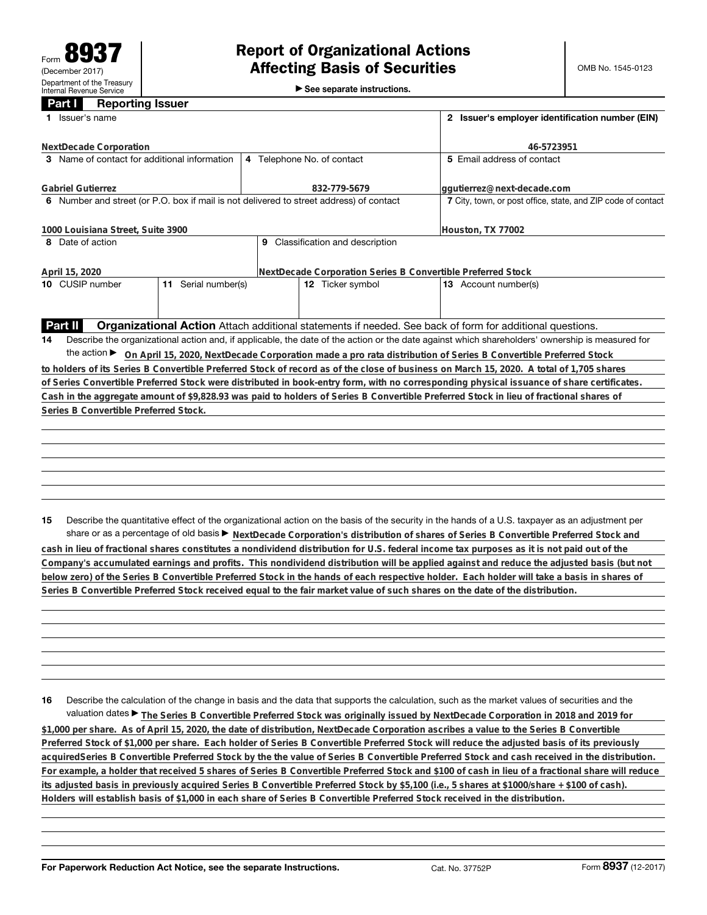►<br>► See separate instructions.

## **Part I Reporting Issuer**

| Issuer's name                                                                           | 2 Issuer's employer identification number (EIN)                                                          |                                                                                                                                                                                                                                                                                        |  |  |  |  |
|-----------------------------------------------------------------------------------------|----------------------------------------------------------------------------------------------------------|----------------------------------------------------------------------------------------------------------------------------------------------------------------------------------------------------------------------------------------------------------------------------------------|--|--|--|--|
| NextDecade Corporation                                                                  | 46-5723951                                                                                               |                                                                                                                                                                                                                                                                                        |  |  |  |  |
| 3 Name of contact for additional information                                            | 4 Telephone No. of contact                                                                               | 5 Email address of contact                                                                                                                                                                                                                                                             |  |  |  |  |
| <b>Gabriel Gutierrez</b>                                                                | 832-779-5679                                                                                             | ggutierrez@next-decade.com                                                                                                                                                                                                                                                             |  |  |  |  |
| 6 Number and street (or P.O. box if mail is not delivered to street address) of contact | 7 City, town, or post office, state, and ZIP code of contact                                             |                                                                                                                                                                                                                                                                                        |  |  |  |  |
| 1000 Louisiana Street, Suite 3900                                                       | Houston, TX 77002                                                                                        |                                                                                                                                                                                                                                                                                        |  |  |  |  |
| 8 Date of action                                                                        | 9 Classification and description                                                                         |                                                                                                                                                                                                                                                                                        |  |  |  |  |
| April 15, 2020                                                                          | NextDecade Corporation Series B Convertible Preferred Stock                                              |                                                                                                                                                                                                                                                                                        |  |  |  |  |
| 10 CUSIP number<br>11 Serial number(s)                                                  | 12 Ticker symbol                                                                                         | 13 Account number(s)                                                                                                                                                                                                                                                                   |  |  |  |  |
|                                                                                         |                                                                                                          |                                                                                                                                                                                                                                                                                        |  |  |  |  |
| Part II                                                                                 | Organizational Action Attach additional statements if needed. See back of form for additional questions. |                                                                                                                                                                                                                                                                                        |  |  |  |  |
| 14                                                                                      |                                                                                                          | Describe the organizational action and, if applicable, the date of the action or the date against which shareholders' ownership is measured for                                                                                                                                        |  |  |  |  |
|                                                                                         |                                                                                                          | the action ► On April 15, 2020, NextDecade Corporation made a pro rata distribution of Series B Convertible Preferred Stock                                                                                                                                                            |  |  |  |  |
|                                                                                         |                                                                                                          | to holders of its Series B Convertible Preferred Stock of record as of the close of business on March 15, 2020. A total of 1,705 shares                                                                                                                                                |  |  |  |  |
|                                                                                         |                                                                                                          | of Series Convertible Preferred Stock were distributed in book-entry form, with no corresponding physical issuance of share certificates.                                                                                                                                              |  |  |  |  |
|                                                                                         |                                                                                                          | Cash in the aggregate amount of \$9,828.93 was paid to holders of Series B Convertible Preferred Stock in lieu of fractional shares of                                                                                                                                                 |  |  |  |  |
| Series B Convertible Preferred Stock.                                                   |                                                                                                          |                                                                                                                                                                                                                                                                                        |  |  |  |  |
|                                                                                         |                                                                                                          |                                                                                                                                                                                                                                                                                        |  |  |  |  |
|                                                                                         |                                                                                                          |                                                                                                                                                                                                                                                                                        |  |  |  |  |
|                                                                                         |                                                                                                          |                                                                                                                                                                                                                                                                                        |  |  |  |  |
|                                                                                         |                                                                                                          |                                                                                                                                                                                                                                                                                        |  |  |  |  |
|                                                                                         |                                                                                                          |                                                                                                                                                                                                                                                                                        |  |  |  |  |
|                                                                                         |                                                                                                          |                                                                                                                                                                                                                                                                                        |  |  |  |  |
|                                                                                         |                                                                                                          |                                                                                                                                                                                                                                                                                        |  |  |  |  |
| 15                                                                                      |                                                                                                          | Describe the quantitative effect of the organizational action on the basis of the security in the hands of a U.S. taxpayer as an adjustment per<br>share or as a percentage of old basis > NextDecade Corporation's distribution of shares of Series B Convertible Preferred Stock and |  |  |  |  |
|                                                                                         |                                                                                                          | cash in lieu of fractional shares constitutes a nondividend distribution for U.S. federal income tax purposes as it is not paid out of the                                                                                                                                             |  |  |  |  |

**Company's accumulated earnings and profits. This nondividend distribution will be applied against and reduce the adjusted basis (but not below zero) of the Series B Convertible Preferred Stock in the hands of each respective holder. Each holder will take a basis in shares of Series B Convertible Preferred Stock received equal to the fair market value of such shares on the date of the distribution.**

**16** Describe the calculation of the change in basis and the data that supports the calculation, such as the market values of securities and the valuation dates ▶ The Series B Convertible Preferred Stock was originally issued by NextDecade Corporation in 2018 and 2019 for **\$1,000 per share. As of April 15, 2020, the date of distribution, NextDecade Corporation ascribes a value to the Series B Convertible Preferred Stock of \$1,000 per share. Each holder of Series B Convertible Preferred Stock will reduce the adjusted basis of its previously acquiredSeries B Convertible Preferred Stock by the the value of Series B Convertible Preferred Stock and cash received in the distribution. For example, a holder that received 5 shares of Series B Convertible Preferred Stock and \$100 of cash in lieu of a fractional share will reduce its adjusted basis in previously acquired Series B Convertible Preferred Stock by \$5,100 (i.e., 5 shares at \$1000/share + \$100 of cash). Holders will establish basis of \$1,000 in each share of Series B Convertible Preferred Stock received in the distribution.**